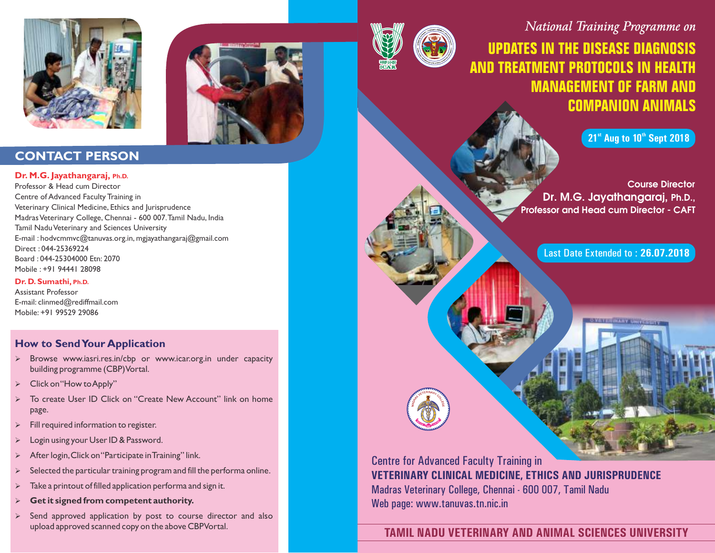





## **CONTACT PERSON**

#### **Dr. M.G. Jayathangaraj, Ph.D.**

Professor & Head cum Director Centre of Advanced Faculty Training in Veterinary Clinical Medicine, Ethics and Jurisprudence Madras Veterinary College, Chennai - 600 007.Tamil Nadu, India Tamil Nadu Veterinary and Sciences University E-mail : hodvcmmvc@tanuvas.org.in, mgjayathangaraj@gmail.com Direct : 044-25369224 Board : 044-25304000 Etn: 2070 Mobile : +91 94441 28098

#### **Dr. D. Sumathi, Ph.D.**

Assistant Professor E-mail: clinmed@rediffmail.com Mobile: +91 99529 29086

### **How to Send Your Application**

- $\triangleright$  Browse www.iasri.res.in/cbp or www.icar.org.in under capacity building programme (CBP) Vortal.
- Click on "How to Apply"
- Ø To create User ID Click on "Create New Account" link on home page.
- Fill required information to register.
- Login using your User ID & Password.
- After login, Click on "Participate in Training" link.
- Selected the particular training program and fill the performa online.
- Take a printout of filled application performa and sign it.
- Ø **Get it signed from competent authority.**
- Send approved application by post to course director and also upload approved scanned copy on the above CBP Vortal.



# **UPDATES IN THE DISEASE DIAGNOSIS AND TREATMENT PROTOCOLS IN HEALTH MANAGEMENT OF FARM AND COMPANION ANIMALS**

**21<sup>st</sup> Aug to 10<sup>th</sup> Sept 2018** 

Course Director Dr. M.G. Jayathangaraj, Ph.D., Professor and Head cum Director - CAFT

Last Date Extended to : **26.07.2018**

Centre for Advanced Faculty Training in **VETERINARY CLINICAL MEDICINE, ETHICS AND JURISPRUDENCE** Madras Veterinary College, Chennai - 600 007, Tamil Nadu Web page: www.tanuvas.tn.nic.in

## **TAMIL NADU VETERINARY AND ANIMAL SCIENCES UNIVERSITY**